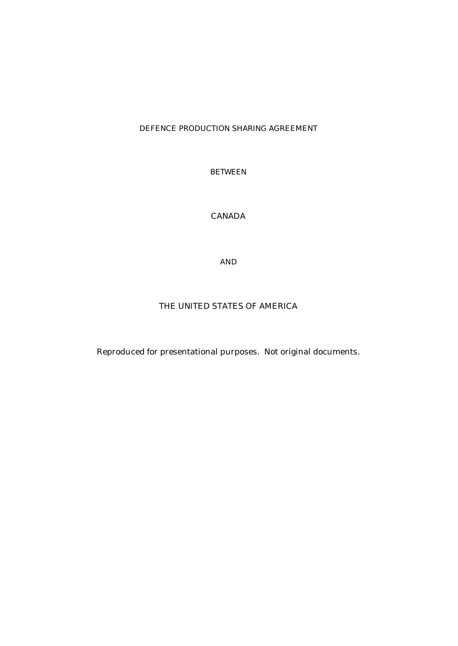#### DEFENCE PRODUCTION SHARING AGREEMENT

BETWEEN

# CANADA

AND

#### THE UNITED STATES OF AMERICA

Reproduced for presentational purposes. Not original documents.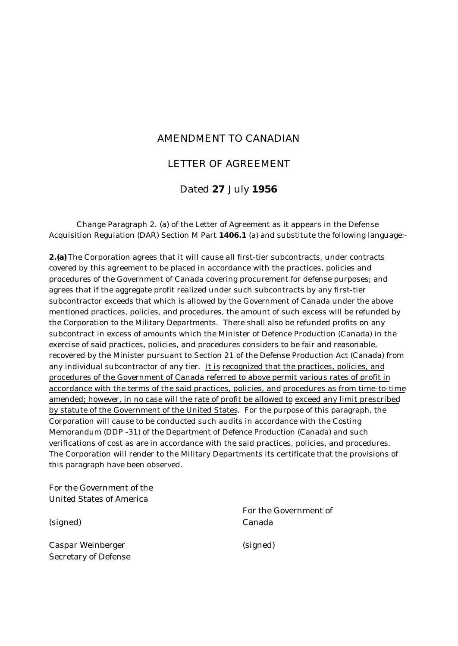### AMENDMENT TO CANADIAN

### LETTER OF AGREEMENT

# Dated **27** July **1956**

Change Paragraph 2. (a) of the Letter of Agreement as it appears in the Defense Acquisition Regulation (DAR) Section M Part **1406.1** (a) and substitute the following language:-

**2.(a)** The Corporation agrees that it will cause all first-tier subcontracts, under contracts covered by this agreement to be placed in accordance with the practices, policies and procedures of the Government of Canada covering procurement for defense purposes; and agrees that if the aggregate profit realized under such subcontracts by any first-tier subcontractor exceeds that which is allowed by the Government of Canada under the above mentioned practices, policies, and procedures, the amount of such excess will be refunded by the Corporation to the Military Departments. There shall also be refunded profits on any subcontract in excess of amounts which the Minister of Defence Production (Canada) in the exercise of said practices, policies, and procedures considers to be fair and reasonable, recovered by the Minister pursuant to Section 21 of the Defense Production Act (Canada) from any individual subcontractor of any tier. It is recognized that the practices, policies, and procedures of the Government of Canada referred to above permit various rates of profit in accordance with the terms of the said practices, policies, and procedures as from time-to-time amended; however, in no case will the rate of profit be allowed to exceed any limit prescribed by statute of the Government of the United States. For the purpose of this paragraph, the Corporation will cause to be conducted such audits in accordance with the Costing Memorandum (DDP -31) of the Department of Defence Production (Canada) and such verifications of cost as are in accordance with the said practices, policies, and procedures. The Corporation will render to the Military Departments its certificate that the provisions of this paragraph have been observed.

For the Government of the United States of America

(signed)

Caspar Weinberger Secretary of Defense For the Government of Canada

(signed)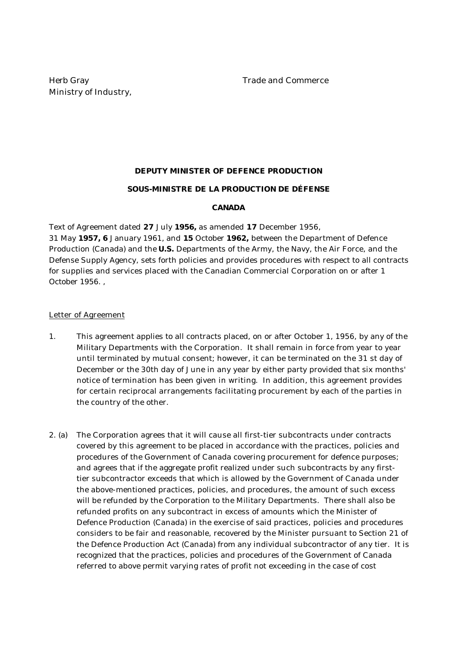# **DEPUTY MINISTER OF DEFENCE PRODUCTION SOUS-MINISTRE DE LA PRODUCTION DE DÉFENSE**

#### **CANADA**

Text of Agreement dated **27** July **1956,** as amended **17** December 1956, 31 May **1957, 6** January 1961, and **15** October **1962,** between the Department of Defence Production (Canada) and the **U.S.** Departments of the Army, the Navy, the Air Force, and the Defense Supply Agency, sets forth policies and provides procedures with respect to all contracts for supplies and services placed with the Canadian Commercial Corporation on or after 1 October 1956. ,

#### Letter of Agreement

- 1. This agreement applies to all contracts placed, on or after October 1, 1956, by any of the Military Departments with the Corporation. It shall remain in force from year to year until terminated by mutual consent; however, it can be terminated on the 31 st day of December or the 30th day of June in any year by either party provided that six months' notice of termination has been given in writing. In addition, this agreement provides for certain reciprocal arrangements facilitating procurement by each of the parties in the country of the other.
- 2. (a) The Corporation agrees that it will cause all first-tier subcontracts under contracts covered by this agreement to be placed in accordance with the practices, policies and procedures of the Government of Canada covering procurement for defence purposes; and agrees that if the aggregate profit realized under such subcontracts by any firsttier subcontractor exceeds that which is allowed by the Government of Canada under the above-mentioned practices, policies, and procedures, the amount of such excess will be refunded by the Corporation to the Military Departments. There shall also be refunded profits on any subcontract in excess of amounts which the Minister of Defence Production (Canada) in the exercise of said practices, policies and procedures considers to be fair and reasonable, recovered by the Minister pursuant to Section 21 of the Defence Production Act (Canada) from any individual subcontractor of any tier. It is recognized that the practices, policies and procedures of the Government of Canada referred to above permit varying rates of profit not exceeding in the case of cost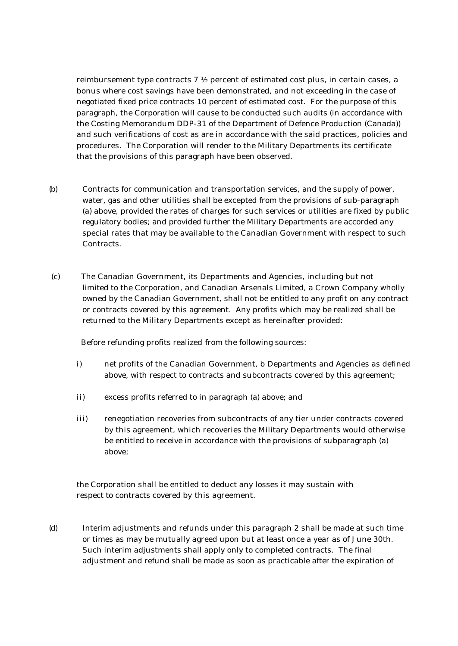reimbursement type contracts 7 ½ percent of estimated cost plus, in certain cases, a bonus where cost savings have been demonstrated, and not exceeding in the case of negotiated fixed price contracts 10 percent of estimated cost. For the purpose of this paragraph, the Corporation will cause to be conducted such audits (in accordance with the Costing Memorandum DDP-31 of the Department of Defence Production (Canada)) and such verifications of cost as are in accordance with the said practices, policies and procedures. The Corporation will render to the Military Departments its certificate that the provisions of this paragraph have been observed.

- (b) Contracts for communication and transportation services, and the supply of power, water, gas and other utilities shall be excepted from the provisions of sub-paragraph (a) above, provided the rates of charges for such services or utilities are fixed by public regulatory bodies; and provided further the Military Departments are accorded any special rates that may be available to the Canadian Government with respect to such **Contracts**
- (c) The Canadian Government, its Departments and Agencies, including but not limited to the Corporation, and Canadian Arsenals Limited, a Crown Company wholly owned by the Canadian Government, shall not be entitled to any profit on any contract or contracts covered by this agreement. Any profits which may be realized shall be returned to the Military Departments except as hereinafter provided:

Before refunding profits realized from the following sources:

- i) net profits of the Canadian Government, b Departments and Agencies as defined above, with respect to contracts and subcontracts covered by this agreement;
- ii) excess profits referred to in paragraph (a) above; and
- iii) renegotiation recoveries from subcontracts of any tier under contracts covered by this agreement, which recoveries the Military Departments would otherwise be entitled to receive in accordance with the provisions of subparagraph (a) above;

the Corporation shall be entitled to deduct any losses it may sustain with respect to contracts covered by this agreement.

(d) Interim adjustments and refunds under this paragraph 2 shall be made at such time or times as may be mutually agreed upon but at least once a year as of June 30th. Such interim adjustments shall apply only to completed contracts. The final adjustment and refund shall be made as soon as practicable after the expiration of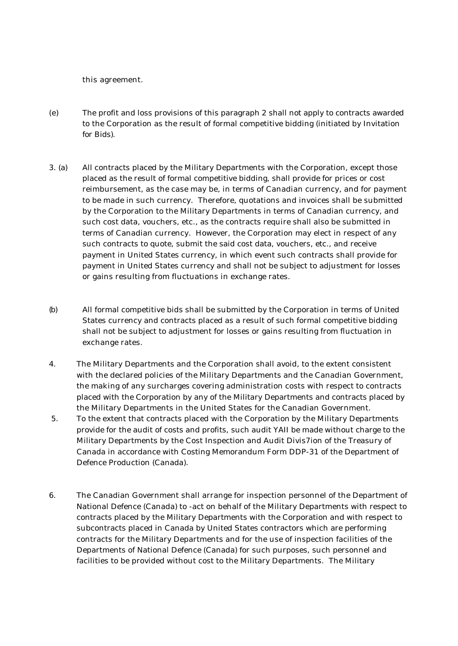this agreement.

- (e) The profit and loss provisions of this paragraph 2 shall not apply to contracts awarded to the Corporation as the result of formal competitive bidding (initiated by Invitation for Bids).
- 3. (a) All contracts placed by the Military Departments with the Corporation, except those placed as the result of formal competitive bidding, shall provide for prices or cost reimbursement, as the case may be, in terms of Canadian currency, and for payment to be made in such currency. Therefore, quotations and invoices shall be submitted by the Corporation to the Military Departments in terms of Canadian currency, and such cost data, vouchers, etc., as the contracts require shall also be submitted in terms of Canadian currency. However, the Corporation may elect in respect of any such contracts to quote, submit the said cost data, vouchers, etc., and receive payment in United States currency, in which event such contracts shall provide for payment in United States currency and shall not be subject to adjustment for losses or gains resulting from fluctuations in exchange rates.
- (b) All formal competitive bids shall be submitted by the Corporation in terms of United States currency and contracts placed as a result of such formal competitive bidding shall not be subject to adjustment for losses or gains resulting from fluctuation in exchange rates.
- 4. The Military Departments and the Corporation shall avoid, to the extent consistent with the declared policies of the Military Departments and the Canadian Government, the making of any surcharges covering administration costs with respect to contracts placed with the Corporation by any of the Military Departments and contracts placed by the Military Departments in the United States for the Canadian Government.
- 5. To the extent that contracts placed with the Corporation by the Military Departments provide for the audit of costs and profits, such audit YAII be made without charge to the Military Departments by the Cost Inspection and Audit Divis7ion of the Treasury of Canada in accordance with Costing Memorandum Form DDP-31 of the Department of Defence Production (Canada).
- 6. The Canadian Government shall arrange for inspection personnel of the Department of National Defence (Canada) to -act on behalf of the Military Departments with respect to contracts placed by the Military Departments with the Corporation and with respect to subcontracts placed in Canada by United States contractors which are performing contracts for the Military Departments and for the use of inspection facilities of the Departments of National Defence (Canada) for such purposes, such personnel and facilities to be provided without cost to the Military Departments. The Military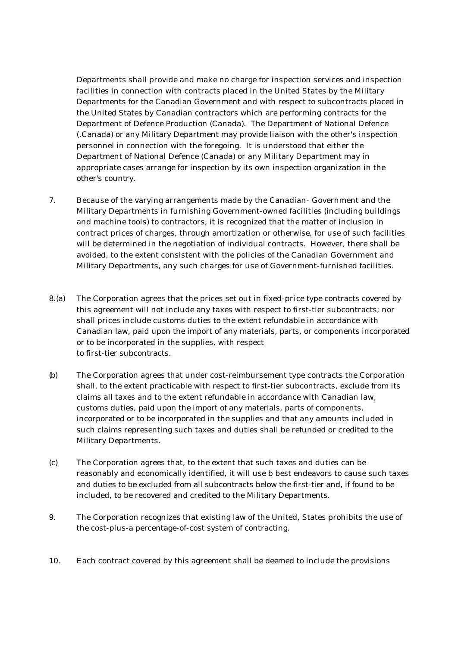Departments shall provide and make no charge for inspection services and inspection facilities in connection with contracts placed in the United States by the Military Departments for the Canadian Government and with respect to subcontracts placed in the United States by Canadian contractors which are performing contracts for the Department of Defence Production (Canada). The Department of National Defence (.Canada) or any Military Department may provide liaison with the other's inspection personnel in connection with the foregoing. It is understood that either the Department of National Defence (Canada) or any Military Department may in appropriate cases arrange for inspection by its own inspection organization in the other's country.

- 7. Because of the varying arrangements made by the Canadian- Government and the Military Departments in furnishing Government-owned facilities (including buildings and machine tools) to contractors, it is recognized that the matter of inclusion in contract prices of charges, through amortization or otherwise, for use of such facilities will be determined in the negotiation of individual contracts. However, there shall be avoided, to the extent consistent with the policies of the Canadian Government and Military Departments, any such charges for use of Government-furnished facilities.
- 8.(a) The Corporation agrees that the prices set out in fixed-price type contracts covered by this agreement will not include any taxes with respect to first-tier subcontracts; nor shall prices include customs duties to the extent refundable in accordance with Canadian law, paid upon the import of any materials, parts, or components incorporated or to be incorporated in the supplies, with respect to first-tier subcontracts.
- (b) The Corporation agrees that under cost-reimbursement type contracts the Corporation shall, to the extent practicable with respect to first-tier subcontracts, exclude from its claims all taxes and to the extent refundable in accordance with Canadian law, customs duties, paid upon the import of any materials, parts of components, incorporated or to be incorporated in the supplies and that any amounts included in such claims representing such taxes and duties shall be refunded or credited to the Military Departments.
- (c) The Corporation agrees that, to the extent that such taxes and duties can be reasonably and economically identified, it will use b best endeavors to cause such taxes and duties to be excluded from all subcontracts below the first-tier and, if found to be included, to be recovered and credited to the Military Departments.
- 9. The Corporation recognizes that existing law of the United, States prohibits the use of the cost-plus-a percentage-of-cost system of contracting.
- 10. Each contract covered by this agreement shall be deemed to include the provisions